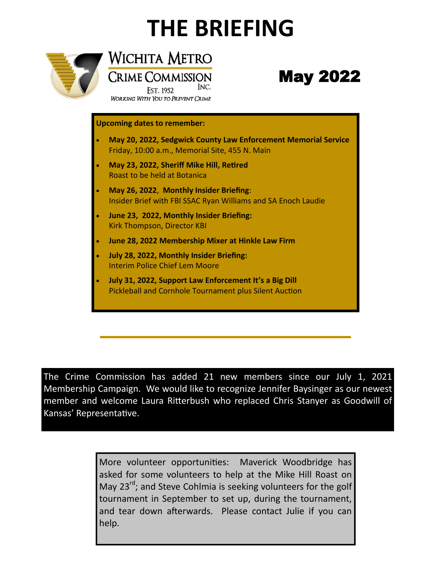# **THE BRIEFING**

INC.



Wichita Metro **CRIME COMMISSION** 

**EST. 1952 WORKING WITH YOU TO PREVENT CRIME** 

# May 2022

#### **Upcoming dates to remember:**

- **May 20, 2022, Sedgwick County Law Enforcement Memorial Service** Friday, 10:00 a.m., Memorial Site, 455 N. Main
- **May 23, 2022, Sheriff Mike Hill, Retired**  Roast to be held at Botanica
- **May 26, 2022**, **Monthly Insider Briefing**: Insider Brief with FBI SSAC Ryan Williams and SA Enoch Laudie
- **June 23, 2022, Monthly Insider Briefing:**  Kirk Thompson, Director KBI
- **June 28, 2022 Membership Mixer at Hinkle Law Firm**
- **July 28, 2022, Monthly Insider Briefing:** Interim Police Chief Lem Moore
- **July 31, 2022, Support Law Enforcement It's a Big Dill** Pickleball and Cornhole Tournament plus Silent Auction

The Crime Commission has added 21 new members since our July 1, 2021 Membership Campaign. We would like to recognize Jennifer Baysinger as our newest member and welcome Laura Ritterbush who replaced Chris Stanyer as Goodwill of Kansas' Representative.

> More volunteer opportunities: Maverick Woodbridge has asked for some volunteers to help at the Mike Hill Roast on May  $23^{rd}$ ; and Steve Cohlmia is seeking volunteers for the golf tournament in September to set up, during the tournament, and tear down afterwards. Please contact Julie if you can help.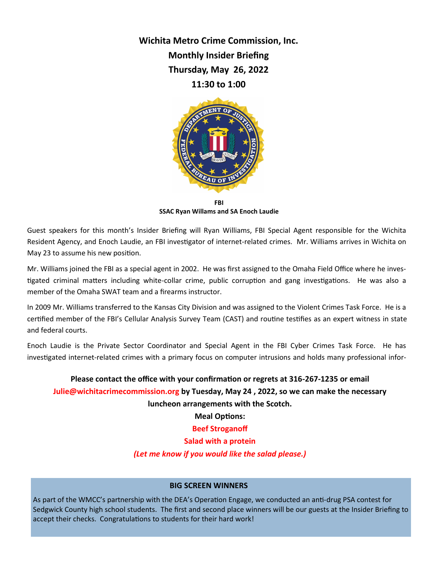**Wichita Metro Crime Commission, Inc. Monthly Insider Briefing Thursday, May 26, 2022 11:30 to 1:00**



**FBI SSAC Ryan Willams and SA Enoch Laudie**

Guest speakers for this month's Insider Briefing will Ryan Williams, FBI Special Agent responsible for the Wichita Resident Agency, and Enoch Laudie, an FBI investigator of internet-related crimes. Mr. Williams arrives in Wichita on May 23 to assume his new position.

Mr. Williams joined the FBI as a special agent in 2002. He was first assigned to the Omaha Field Office where he investigated criminal matters including white-collar crime, public corruption and gang investigations. He was also a member of the Omaha SWAT team and a firearms instructor.

In 2009 Mr. Williams transferred to the Kansas City Division and was assigned to the Violent Crimes Task Force. He is a certified member of the FBI's Cellular Analysis Survey Team (CAST) and routine testifies as an expert witness in state and federal courts.

Enoch Laudie is the Private Sector Coordinator and Special Agent in the FBI Cyber Crimes Task Force. He has investigated internet-related crimes with a primary focus on computer intrusions and holds many professional infor-

# **Please contact the office with your confirmation or regrets at 316-267-1235 or email Julie@wichitacrimecommission.org by Tuesday, May 24 , 2022, so we can make the necessary luncheon arrangements with the Scotch.**

**Meal Options:** 

**Beef Stroganoff** 

**Salad with a protein**

*(Let me know if you would like the salad please.)*

#### **BIG SCREEN WINNERS**

As part of the WMCC's partnership with the DEA's Operation Engage, we conducted an anti-drug PSA contest for Sedgwick County high school students. The first and second place winners will be our guests at the Insider Briefing to accept their checks. Congratulations to students for their hard work!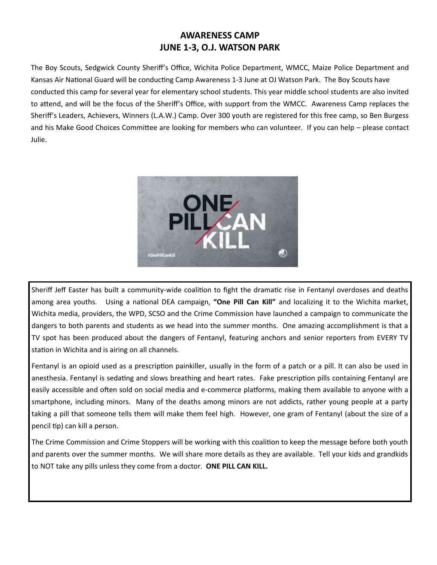# **AWARENESS CAMP JUNE 1-3, O.J. WATSON PARK**

The Boy Scouts, Sedgwick County Sheriff's Office, Wichita Police Department, WMCC, Maize Police Department and Kansas Air National Guard will be conducting Camp Awareness 1-3 June at OJ Watson Park. The Boy Scouts have conducted this camp for several year for elementary school students. This year middle school students are also invited to attend, and will be the focus of the Sheriff's Office, with support from the WMCC. Awareness Camp replaces the Sheriff's Leaders, Achievers, Winners (L.A.W.) Camp. Over 300 youth are registered for this free camp, so Ben Burgess and his Make Good Choices Committee are looking for members who can volunteer. If you can help – please contact Julie.



Sheriff Jeff Easter has built a community-wide coalition to fight the dramatic rise in Fentanyl overdoses and deaths among area youths. Using a national DEA campaign, **"One Pill Can Kill"** and localizing it to the Wichita market, Wichita media, providers, the WPD, SCSO and the Crime Commission have launched a campaign to communicate the dangers to both parents and students as we head into the summer months. One amazing accomplishment is that a TV spot has been produced about the dangers of Fentanyl, featuring anchors and senior reporters from EVERY TV station in Wichita and is airing on all channels.

Fentanyl is an opioid used as a prescription painkiller, usually in the form of a patch or a pill. It can also be used in anesthesia. Fentanyl is sedating and slows breathing and heart rates. Fake prescription pills containing Fentanyl are easily accessible and often sold on social media and e-commerce platforms, making them available to anyone with a smartphone, including minors. Many of the deaths among minors are not addicts, rather young people at a party taking a pill that someone tells them will make them feel high. However, one gram of Fentanyl (about the size of a pencil tip) can kill a person.

The Crime Commission and Crime Stoppers will be working with this coalition to keep the message before both youth and parents over the summer months. We will share more details as they are available. Tell your kids and grandkids to NOT take any pills unless they come from a doctor. **ONE PILL CAN KILL.**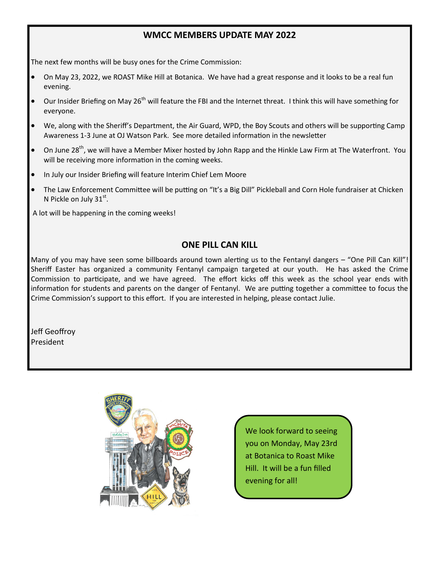#### **WMCC MEMBERS UPDATE MAY 2022**

The next few months will be busy ones for the Crime Commission:

- On May 23, 2022, we ROAST Mike Hill at Botanica. We have had a great response and it looks to be a real fun evening.
- $\bullet$  Our Insider Briefing on May 26<sup>th</sup> will feature the FBI and the Internet threat. I think this will have something for everyone.
- We, along with the Sheriff's Department, the Air Guard, WPD, the Boy Scouts and others will be supporting Camp Awareness 1-3 June at OJ Watson Park. See more detailed information in the newsletter
- On June 28<sup>th</sup>, we will have a Member Mixer hosted by John Rapp and the Hinkle Law Firm at The Waterfront. You will be receiving more information in the coming weeks.
- In July our Insider Briefing will feature Interim Chief Lem Moore
- The Law Enforcement Committee will be putting on "It's a Big Dill" Pickleball and Corn Hole fundraiser at Chicken N Pickle on July  $31<sup>st</sup>$ .

A lot will be happening in the coming weeks!

#### **ONE PILL CAN KILL**

Many of you may have seen some billboards around town alerting us to the Fentanyl dangers – "One Pill Can Kill"! Sheriff Easter has organized a community Fentanyl campaign targeted at our youth. He has asked the Crime Commission to participate, and we have agreed. The effort kicks off this week as the school year ends with information for students and parents on the danger of Fentanyl. We are putting together a committee to focus the Crime Commission's support to this effort. If you are interested in helping, please contact Julie.

Jeff Geoffroy President



We look forward to seeing you on Monday, May 23rd at Botanica to Roast Mike Hill. It will be a fun filled evening for all!